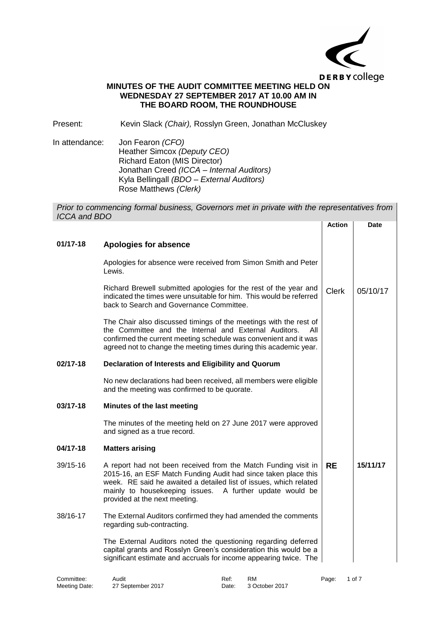

# **MINUTES OF THE AUDIT COMMITTEE MEETING HELD ON WEDNESDAY 27 SEPTEMBER 2017 AT 10.00 AM IN THE BOARD ROOM, THE ROUNDHOUSE**

Present: Kevin Slack *(Chair),* Rosslyn Green, Jonathan McCluskey

In attendance: Jon Fearon *(CFO)* Heather Simcox *(Deputy CEO)* Richard Eaton (MIS Director) Jonathan Creed *(ICCA – Internal Auditors)* Kyla Bellingall *(BDO – External Auditors)* Rose Matthews *(Clerk)*

*Prior to commencing formal business, Governors met in private with the representatives from ICCA and BDO* **Action Date**

| $01/17 - 18$ | Apologies for absence                                                                                                                                                                                                                                                                              |              |          |
|--------------|----------------------------------------------------------------------------------------------------------------------------------------------------------------------------------------------------------------------------------------------------------------------------------------------------|--------------|----------|
|              | Apologies for absence were received from Simon Smith and Peter<br>Lewis.                                                                                                                                                                                                                           |              |          |
|              | Richard Brewell submitted apologies for the rest of the year and<br>indicated the times were unsuitable for him. This would be referred<br>back to Search and Governance Committee.                                                                                                                | <b>Clerk</b> | 05/10/17 |
|              | The Chair also discussed timings of the meetings with the rest of<br>the Committee and the Internal and External Auditors.<br>All<br>confirmed the current meeting schedule was convenient and it was<br>agreed not to change the meeting times during this academic year.                         |              |          |
| 02/17-18     | Declaration of Interests and Eligibility and Quorum                                                                                                                                                                                                                                                |              |          |
|              | No new declarations had been received, all members were eligible<br>and the meeting was confirmed to be quorate.                                                                                                                                                                                   |              |          |
| 03/17-18     | Minutes of the last meeting                                                                                                                                                                                                                                                                        |              |          |
|              | The minutes of the meeting held on 27 June 2017 were approved<br>and signed as a true record.                                                                                                                                                                                                      |              |          |
| 04/17-18     | <b>Matters arising</b>                                                                                                                                                                                                                                                                             |              |          |
| 39/15-16     | A report had not been received from the Match Funding visit in<br>2015-16, an ESF Match Funding Audit had since taken place this<br>week. RE said he awaited a detailed list of issues, which related<br>mainly to housekeeping issues. A further update would be<br>provided at the next meeting. | <b>RE</b>    | 15/11/17 |
| 38/16-17     | The External Auditors confirmed they had amended the comments<br>regarding sub-contracting.                                                                                                                                                                                                        |              |          |
|              | The External Auditors noted the questioning regarding deferred<br>capital grants and Rosslyn Green's consideration this would be a<br>significant estimate and accruals for income appearing twice. The                                                                                            |              |          |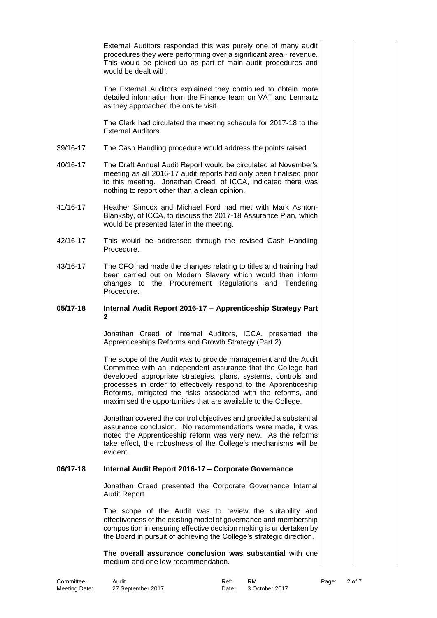External Auditors responded this was purely one of many audit procedures they were performing over a significant area - revenue. This would be picked up as part of main audit procedures and would be dealt with.

The External Auditors explained they continued to obtain more detailed information from the Finance team on VAT and Lennartz as they approached the onsite visit.

The Clerk had circulated the meeting schedule for 2017-18 to the External Auditors.

- 39/16-17 The Cash Handling procedure would address the points raised.
- 40/16-17 The Draft Annual Audit Report would be circulated at November's meeting as all 2016-17 audit reports had only been finalised prior to this meeting. Jonathan Creed, of ICCA, indicated there was nothing to report other than a clean opinion.
- 41/16-17 Heather Simcox and Michael Ford had met with Mark Ashton-Blanksby, of ICCA, to discuss the 2017-18 Assurance Plan, which would be presented later in the meeting.
- 42/16-17 This would be addressed through the revised Cash Handling Procedure.
- 43/16-17 The CFO had made the changes relating to titles and training had been carried out on Modern Slavery which would then inform changes to the Procurement Regulations and Tendering Procedure.

### **05/17-18 Internal Audit Report 2016-17 – Apprenticeship Strategy Part 2**

Jonathan Creed of Internal Auditors, ICCA, presented the Apprenticeships Reforms and Growth Strategy (Part 2).

The scope of the Audit was to provide management and the Audit Committee with an independent assurance that the College had developed appropriate strategies, plans, systems, controls and processes in order to effectively respond to the Apprenticeship Reforms, mitigated the risks associated with the reforms, and maximised the opportunities that are available to the College.

Jonathan covered the control objectives and provided a substantial assurance conclusion. No recommendations were made, it was noted the Apprenticeship reform was very new. As the reforms take effect, the robustness of the College's mechanisms will be evident.

### **06/17-18 Internal Audit Report 2016-17 – Corporate Governance**

Jonathan Creed presented the Corporate Governance Internal Audit Report.

The scope of the Audit was to review the suitability and effectiveness of the existing model of governance and membership composition in ensuring effective decision making is undertaken by the Board in pursuit of achieving the College's strategic direction.

**The overall assurance conclusion was substantial** with one medium and one low recommendation.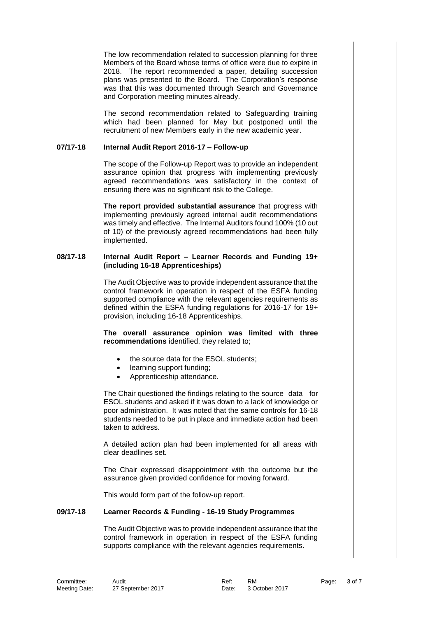The low recommendation related to succession planning for three Members of the Board whose terms of office were due to expire in 2018. The report recommended a paper, detailing succession plans was presented to the Board. The Corporation's response was that this was documented through Search and Governance and Corporation meeting minutes already.

The second recommendation related to Safeguarding training which had been planned for May but postponed until the recruitment of new Members early in the new academic year.

# **07/17-18 Internal Audit Report 2016-17 – Follow-up**

The scope of the Follow-up Report was to provide an independent assurance opinion that progress with implementing previously agreed recommendations was satisfactory in the context of ensuring there was no significant risk to the College.

**The report provided substantial assurance** that progress with implementing previously agreed internal audit recommendations was timely and effective. The Internal Auditors found 100% (10 out of 10) of the previously agreed recommendations had been fully implemented.

#### **08/17-18 Internal Audit Report – Learner Records and Funding 19+ (including 16-18 Apprenticeships)**

The Audit Objective was to provide independent assurance that the control framework in operation in respect of the ESFA funding supported compliance with the relevant agencies requirements as defined within the ESFA funding regulations for 2016-17 for 19+ provision, including 16-18 Apprenticeships.

**The overall assurance opinion was limited with three recommendations** identified, they related to;

- the source data for the ESOL students;
- learning support funding;
- Apprenticeship attendance.

The Chair questioned the findings relating to the source data for ESOL students and asked if it was down to a lack of knowledge or poor administration. It was noted that the same controls for 16-18 students needed to be put in place and immediate action had been taken to address.

A detailed action plan had been implemented for all areas with clear deadlines set.

The Chair expressed disappointment with the outcome but the assurance given provided confidence for moving forward.

This would form part of the follow-up report.

# **09/17-18 Learner Records & Funding - 16-19 Study Programmes**

The Audit Objective was to provide independent assurance that the control framework in operation in respect of the ESFA funding supports compliance with the relevant agencies requirements.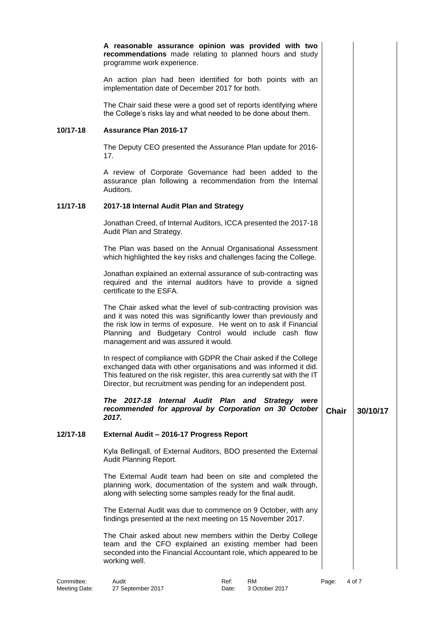|          | A reasonable assurance opinion was provided with two<br>recommendations made relating to planned hours and study<br>programme work experience.                                                                                                                                                              |              |          |  |
|----------|-------------------------------------------------------------------------------------------------------------------------------------------------------------------------------------------------------------------------------------------------------------------------------------------------------------|--------------|----------|--|
|          | An action plan had been identified for both points with an<br>implementation date of December 2017 for both.                                                                                                                                                                                                |              |          |  |
|          | The Chair said these were a good set of reports identifying where<br>the College's risks lay and what needed to be done about them.                                                                                                                                                                         |              |          |  |
| 10/17-18 | <b>Assurance Plan 2016-17</b>                                                                                                                                                                                                                                                                               |              |          |  |
|          | The Deputy CEO presented the Assurance Plan update for 2016-<br>17.                                                                                                                                                                                                                                         |              |          |  |
|          | A review of Corporate Governance had been added to the<br>assurance plan following a recommendation from the Internal<br>Auditors.                                                                                                                                                                          |              |          |  |
| 11/17-18 | 2017-18 Internal Audit Plan and Strategy                                                                                                                                                                                                                                                                    |              |          |  |
|          | Jonathan Creed, of Internal Auditors, ICCA presented the 2017-18<br>Audit Plan and Strategy.                                                                                                                                                                                                                |              |          |  |
|          | The Plan was based on the Annual Organisational Assessment<br>which highlighted the key risks and challenges facing the College.                                                                                                                                                                            |              |          |  |
|          | Jonathan explained an external assurance of sub-contracting was<br>required and the internal auditors have to provide a signed<br>certificate to the ESFA.                                                                                                                                                  |              |          |  |
|          | The Chair asked what the level of sub-contracting provision was<br>and it was noted this was significantly lower than previously and<br>the risk low in terms of exposure. He went on to ask if Financial<br>Planning and Budgetary Control would include cash flow<br>management and was assured it would. |              |          |  |
|          | In respect of compliance with GDPR the Chair asked if the College<br>exchanged data with other organisations and was informed it did.<br>This featured on the risk register, this area currently sat with the IT<br>Director, but recruitment was pending for an independent post.                          |              |          |  |
|          | The 2017-18 Internal Audit Plan and Strategy were<br>recommended for approval by Corporation on 30 October<br>2017.                                                                                                                                                                                         | <b>Chair</b> | 30/10/17 |  |
| 12/17-18 | External Audit - 2016-17 Progress Report                                                                                                                                                                                                                                                                    |              |          |  |
|          | Kyla Bellingall, of External Auditors, BDO presented the External<br>Audit Planning Report.                                                                                                                                                                                                                 |              |          |  |
|          | The External Audit team had been on site and completed the<br>planning work, documentation of the system and walk through,<br>along with selecting some samples ready for the final audit.                                                                                                                  |              |          |  |
|          | The External Audit was due to commence on 9 October, with any<br>findings presented at the next meeting on 15 November 2017.                                                                                                                                                                                |              |          |  |
|          | The Chair asked about new members within the Derby College<br>team and the CFO explained an existing member had been<br>seconded into the Financial Accountant role, which appeared to be<br>working well.                                                                                                  |              |          |  |
|          |                                                                                                                                                                                                                                                                                                             |              |          |  |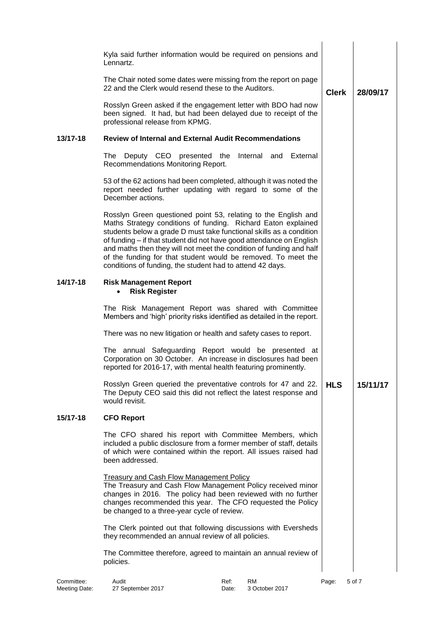|          | Kyla said further information would be required on pensions and<br>Lennartz.                                                                                                                                                                                                                                                                                                                                                                                                        |              |          |
|----------|-------------------------------------------------------------------------------------------------------------------------------------------------------------------------------------------------------------------------------------------------------------------------------------------------------------------------------------------------------------------------------------------------------------------------------------------------------------------------------------|--------------|----------|
|          | The Chair noted some dates were missing from the report on page<br>22 and the Clerk would resend these to the Auditors.                                                                                                                                                                                                                                                                                                                                                             | <b>Clerk</b> | 28/09/17 |
|          | Rosslyn Green asked if the engagement letter with BDO had now<br>been signed. It had, but had been delayed due to receipt of the<br>professional release from KPMG.                                                                                                                                                                                                                                                                                                                 |              |          |
| 13/17-18 | <b>Review of Internal and External Audit Recommendations</b>                                                                                                                                                                                                                                                                                                                                                                                                                        |              |          |
|          | The<br>Deputy CEO presented the<br>Internal and<br>External<br>Recommendations Monitoring Report.                                                                                                                                                                                                                                                                                                                                                                                   |              |          |
|          | 53 of the 62 actions had been completed, although it was noted the<br>report needed further updating with regard to some of the<br>December actions.                                                                                                                                                                                                                                                                                                                                |              |          |
|          | Rosslyn Green questioned point 53, relating to the English and<br>Maths Strategy conditions of funding. Richard Eaton explained<br>students below a grade D must take functional skills as a condition<br>of funding - if that student did not have good attendance on English<br>and maths then they will not meet the condition of funding and half<br>of the funding for that student would be removed. To meet the<br>conditions of funding, the student had to attend 42 days. |              |          |
| 14/17-18 | <b>Risk Management Report</b><br><b>Risk Register</b><br>$\bullet$                                                                                                                                                                                                                                                                                                                                                                                                                  |              |          |
|          | The Risk Management Report was shared with Committee<br>Members and 'high' priority risks identified as detailed in the report.                                                                                                                                                                                                                                                                                                                                                     |              |          |
|          | There was no new litigation or health and safety cases to report.                                                                                                                                                                                                                                                                                                                                                                                                                   |              |          |
|          | The annual Safeguarding Report would be presented at<br>Corporation on 30 October. An increase in disclosures had been<br>reported for 2016-17, with mental health featuring prominently.                                                                                                                                                                                                                                                                                           |              |          |
|          | Rosslyn Green queried the preventative controls for 47 and 22.<br>The Deputy CEO said this did not reflect the latest response and<br>would revisit.                                                                                                                                                                                                                                                                                                                                | <b>HLS</b>   | 15/11/17 |
| 15/17-18 | <b>CFO Report</b>                                                                                                                                                                                                                                                                                                                                                                                                                                                                   |              |          |
|          | The CFO shared his report with Committee Members, which<br>included a public disclosure from a former member of staff, details<br>of which were contained within the report. All issues raised had<br>been addressed.                                                                                                                                                                                                                                                               |              |          |
|          | <b>Treasury and Cash Flow Management Policy</b><br>The Treasury and Cash Flow Management Policy received minor<br>changes in 2016. The policy had been reviewed with no further<br>changes recommended this year. The CFO requested the Policy<br>be changed to a three-year cycle of review.                                                                                                                                                                                       |              |          |
|          | The Clerk pointed out that following discussions with Eversheds<br>they recommended an annual review of all policies.                                                                                                                                                                                                                                                                                                                                                               |              |          |
|          | The Committee therefore, agreed to maintain an annual review of<br>policies.                                                                                                                                                                                                                                                                                                                                                                                                        |              |          |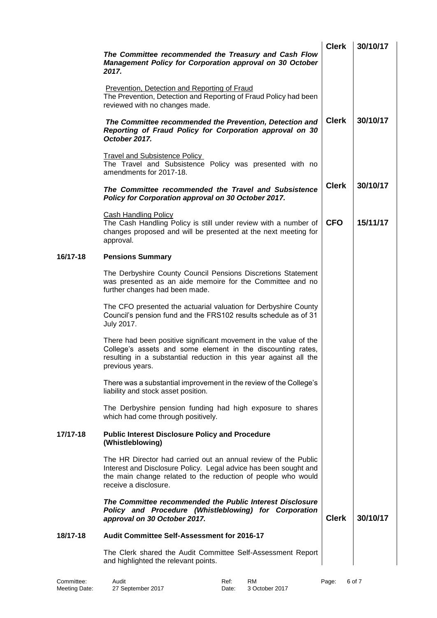|          | The Committee recommended the Treasury and Cash Flow<br>Management Policy for Corporation approval on 30 October<br>2017.                                                                                                   | <b>Clerk</b> | 30/10/17 |
|----------|-----------------------------------------------------------------------------------------------------------------------------------------------------------------------------------------------------------------------------|--------------|----------|
|          | <b>Prevention, Detection and Reporting of Fraud</b><br>The Prevention, Detection and Reporting of Fraud Policy had been<br>reviewed with no changes made.                                                                   |              |          |
|          | The Committee recommended the Prevention, Detection and<br>Reporting of Fraud Policy for Corporation approval on 30<br>October 2017.                                                                                        | <b>Clerk</b> | 30/10/17 |
|          | <b>Travel and Subsistence Policy</b><br>The Travel and Subsistence Policy was presented with no<br>amendments for 2017-18.                                                                                                  |              |          |
|          | The Committee recommended the Travel and Subsistence<br>Policy for Corporation approval on 30 October 2017.                                                                                                                 | <b>Clerk</b> | 30/10/17 |
|          | <b>Cash Handling Policy</b><br>The Cash Handling Policy is still under review with a number of<br>changes proposed and will be presented at the next meeting for<br>approval.                                               | <b>CFO</b>   | 15/11/17 |
| 16/17-18 | <b>Pensions Summary</b>                                                                                                                                                                                                     |              |          |
|          | The Derbyshire County Council Pensions Discretions Statement<br>was presented as an aide memoire for the Committee and no<br>further changes had been made.                                                                 |              |          |
|          | The CFO presented the actuarial valuation for Derbyshire County<br>Council's pension fund and the FRS102 results schedule as of 31<br>July 2017.                                                                            |              |          |
|          | There had been positive significant movement in the value of the<br>College's assets and some element in the discounting rates,<br>resulting in a substantial reduction in this year against all the<br>previous years.     |              |          |
|          | There was a substantial improvement in the review of the College's<br>liability and stock asset position.                                                                                                                   |              |          |
|          | The Derbyshire pension funding had high exposure to shares<br>which had come through positively.                                                                                                                            |              |          |
| 17/17-18 | <b>Public Interest Disclosure Policy and Procedure</b><br>(Whistleblowing)                                                                                                                                                  |              |          |
|          | The HR Director had carried out an annual review of the Public<br>Interest and Disclosure Policy. Legal advice has been sought and<br>the main change related to the reduction of people who would<br>receive a disclosure. |              |          |
|          | The Committee recommended the Public Interest Disclosure<br>Policy and Procedure (Whistleblowing) for Corporation<br>approval on 30 October 2017.                                                                           | <b>Clerk</b> | 30/10/17 |
| 18/17-18 | <b>Audit Committee Self-Assessment for 2016-17</b>                                                                                                                                                                          |              |          |
|          | The Clerk shared the Audit Committee Self-Assessment Report<br>and highlighted the relevant points.                                                                                                                         |              |          |